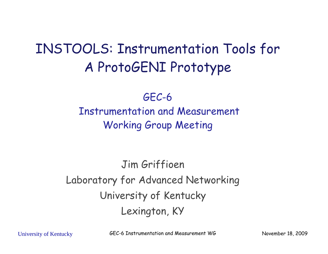#### INSTOOLS: Instrumentation Tools for A ProtoGENI Prototype

GEC-6 Instrumentation and Measurement Working Group Meeting

Jim Griffioen Laboratory for Advanced Networking University of Kentucky Lexington, KY

University of Kentucky **GEC-6 Instrumentation and Measurement WG** November 18, 2009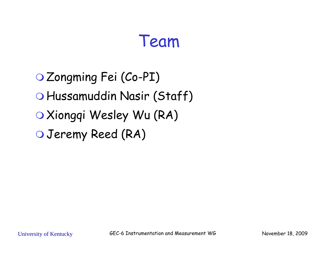#### Team

 Zongming Fei (Co-PI) Hussamuddin Nasir (Staff) O Xiongqi Wesley Wu (RA) Jeremy Reed (RA)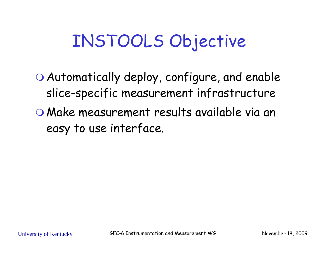#### INSTOOLS Objective

 $\bigcirc$  Automatically deploy, configure, and enable slice-specific measurement infrastructure Make measurement results available via an easy to use interface.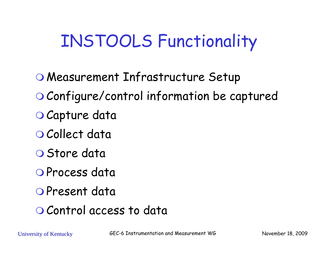## INSTOOLS Functionality

- Measurement Infrastructure Setup Configure/control information be captured O Capture data
- O Collect data
- O Store data
- O Process data
- O Present data
- O Control access to data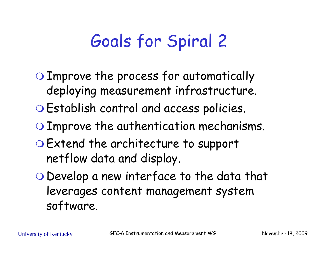## Goals for Spiral 2

- Improve the process for automatically deploying measurement infrastructure.
- Establish control and access policies.
- O Improve the authentication mechanisms.
- Extend the architecture to support netflow data and display.
- Develop a new interface to the data that leverages content management system software .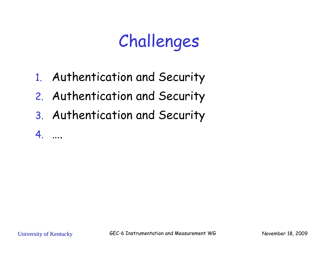# Challenges

- 1. Authentication and Security
- 2. Authentication and Security
- 3. Authentication and Security

4. ….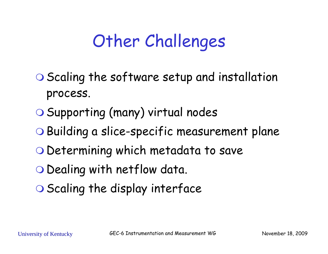## Other Challenges

- O Scaling the software setup and installation process.
- O Supporting (many) virtual nodes
- Building a slice-specific measurement plane
- O Determining which metadata to save
- O Dealing with netflow data.
- O Scaling the display interface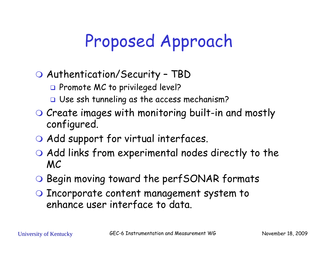## Proposed Approach

#### Authentication/Securit y – TBD

- **Q** Promote MC to privileged level?
- Use ssh tunneling as the access mechanism?
- O Create images with monitoring built-in and mostly configured.
- O Add support for virtual interfaces.
- Add links from experimental nodes directly to the MC
- O Begin moving toward the perfSONAR formats
- O Incorporate content management system to enhance user interface to data .